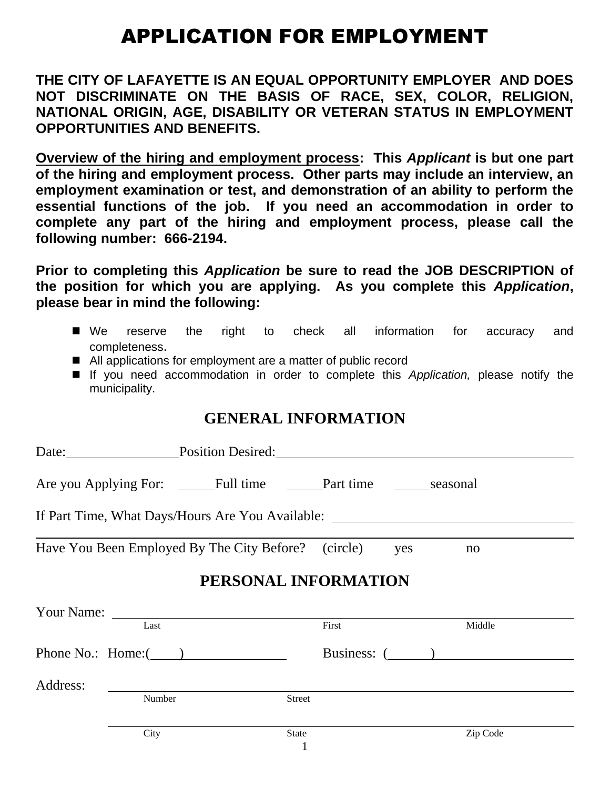# APPLICATION FOR EMPLOYMENT

**THE CITY OF LAFAYETTE IS AN EQUAL OPPORTUNITY EMPLOYER AND DOES NOT DISCRIMINATE ON THE BASIS OF RACE, SEX, COLOR, RELIGION, NATIONAL ORIGIN, AGE, DISABILITY OR VETERAN STATUS IN EMPLOYMENT OPPORTUNITIES AND BENEFITS.**

**Overview of the hiring and employment process: This** *Applicant* **is but one part of the hiring and employment process. Other parts may include an interview, an employment examination or test, and demonstration of an ability to perform the essential functions of the job. If you need an accommodation in order to complete any part of the hiring and employment process, please call the following number: 666-2194.**

**Prior to completing this** *Application* **be sure to read the JOB DESCRIPTION of the position for which you are applying. As you complete this** *Application***, please bear in mind the following:**

- We reserve the right to check all information for accuracy and completeness.
- All applications for employment are a matter of public record
- If you need accommodation in order to complete this *Application,* please notify the municipality.

#### **GENERAL INFORMATION**

|                      |        | Date: Position Desired:                                 |       |  |              |  |  |
|----------------------|--------|---------------------------------------------------------|-------|--|--------------|--|--|
|                      |        | Are you Applying For: Full time Part time seasonal      |       |  |              |  |  |
|                      |        | If Part Time, What Days/Hours Are You Available:        |       |  |              |  |  |
|                      |        | Have You Been Employed By The City Before? (circle) ves |       |  | no           |  |  |
| PERSONAL INFORMATION |        |                                                         |       |  |              |  |  |
|                      |        |                                                         |       |  |              |  |  |
|                      | Last   |                                                         | First |  | Middle       |  |  |
|                      |        | Phone No.: Home: $($                                    |       |  | Business: () |  |  |
| Address:             |        |                                                         |       |  |              |  |  |
|                      | Number | Street                                                  |       |  |              |  |  |
|                      | City   | <b>State</b>                                            |       |  | Zip Code     |  |  |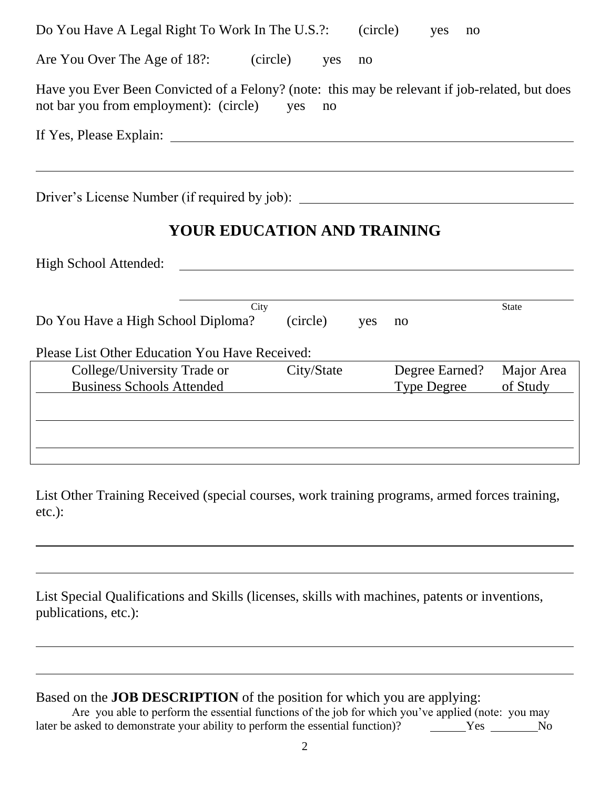| Do You Have A Legal Right To Work In The U.S.?:                                                                                                    |          |     | (circle)                             | yes | no |                        |  |
|----------------------------------------------------------------------------------------------------------------------------------------------------|----------|-----|--------------------------------------|-----|----|------------------------|--|
| Are You Over The Age of 18?: (circle)                                                                                                              | yes      | no  |                                      |     |    |                        |  |
| Have you Ever Been Convicted of a Felony? (note: this may be relevant if job-related, but does<br>not bar you from employment): (circle) yes<br>no |          |     |                                      |     |    |                        |  |
|                                                                                                                                                    |          |     |                                      |     |    |                        |  |
|                                                                                                                                                    |          |     |                                      |     |    |                        |  |
| Driver's License Number (if required by job): __________________________________                                                                   |          |     |                                      |     |    |                        |  |
| YOUR EDUCATION AND TRAINING                                                                                                                        |          |     |                                      |     |    |                        |  |
| High School Attended:<br><u> 1989 - Johann Stein, fransk politik (d. 1989)</u>                                                                     |          |     |                                      |     |    |                        |  |
| City                                                                                                                                               |          |     |                                      |     |    | State                  |  |
| Do You Have a High School Diploma?                                                                                                                 | (circle) | yes | no                                   |     |    |                        |  |
| Please List Other Education You Have Received:                                                                                                     |          |     |                                      |     |    |                        |  |
| College/University Trade or City/State<br><b>Business Schools Attended</b>                                                                         |          |     | Degree Earned?<br><b>Type Degree</b> |     |    | Major Area<br>of Study |  |
|                                                                                                                                                    |          |     |                                      |     |    |                        |  |
|                                                                                                                                                    |          |     |                                      |     |    |                        |  |
|                                                                                                                                                    |          |     |                                      |     |    |                        |  |

List Other Training Received (special courses, work training programs, armed forces training, etc.):

List Special Qualifications and Skills (licenses, skills with machines, patents or inventions, publications, etc.):

Based on the **JOB DESCRIPTION** of the position for which you are applying:

Are you able to perform the essential functions of the job for which you've applied (note: you may later be asked to demonstrate your ability to perform the essential function)? Yes No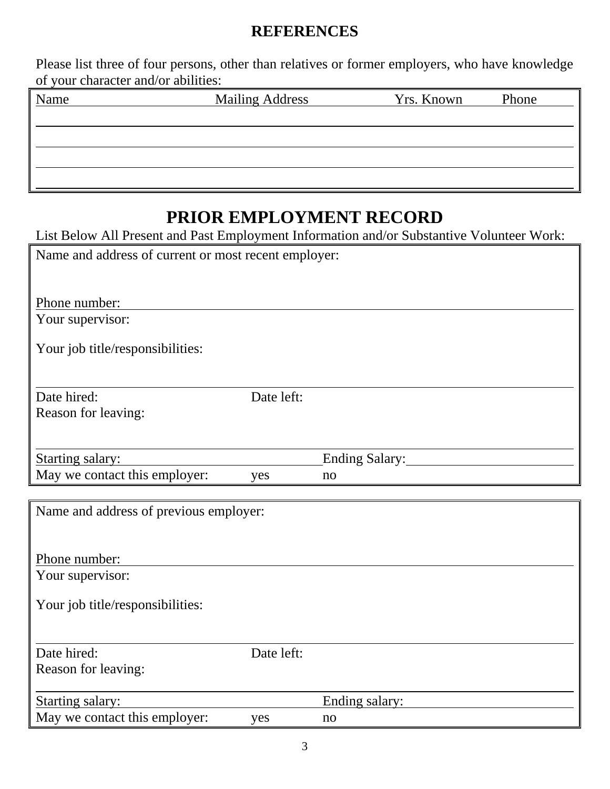#### **REFERENCES**

Please list three of four persons, other than relatives or former employers, who have knowledge of your character and/or abilities:

| Name | <b>Mailing Address</b> | Yrs. Known | Phone |
|------|------------------------|------------|-------|
|      |                        |            |       |
|      |                        |            |       |
|      |                        |            |       |
|      |                        |            |       |
|      |                        |            |       |

## **PRIOR EMPLOYMENT RECORD**

List Below All Present and Past Employment Information and/or Substantive Volunteer Work:

| Name and address of current or most recent employer: |            |                |  |  |
|------------------------------------------------------|------------|----------------|--|--|
| Phone number:                                        |            |                |  |  |
| Your supervisor:                                     |            |                |  |  |
| Your job title/responsibilities:                     |            |                |  |  |
| Date hired:                                          | Date left: |                |  |  |
| Reason for leaving:                                  |            |                |  |  |
| <b>Starting salary:</b>                              |            | Ending Salary: |  |  |
| May we contact this employer:                        | yes        | no             |  |  |
| Name and address of previous employer:               |            |                |  |  |
| Phone number:                                        |            |                |  |  |
| Your supervisor:                                     |            |                |  |  |
| Your job title/responsibilities:                     |            |                |  |  |
| Date hired:                                          | Date left: |                |  |  |
| Reason for leaving:                                  |            |                |  |  |
| <b>Starting salary:</b>                              |            | Ending salary: |  |  |
| May we contact this employer:                        | yes        | no             |  |  |